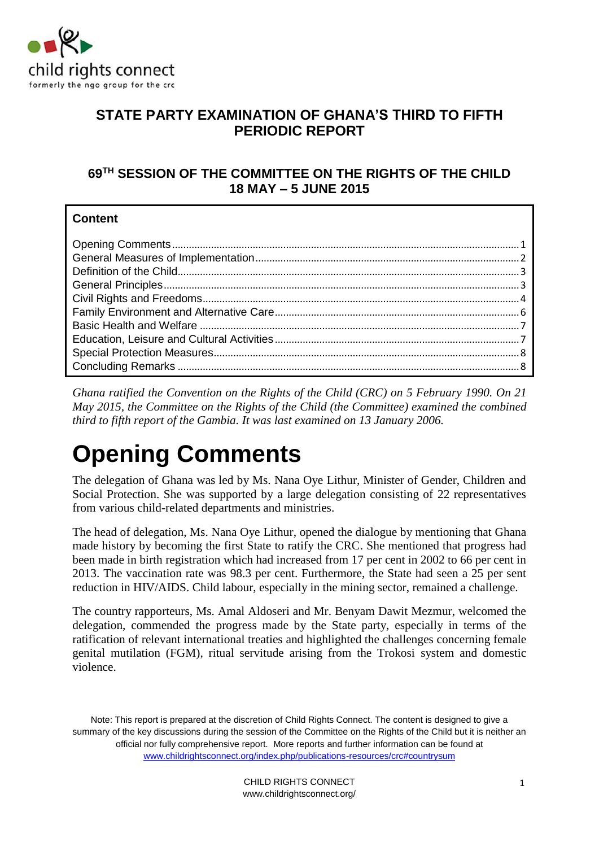

## **STATE PARTY EXAMINATION OF GHANA'S THIRD TO FIFTH PERIODIC REPORT**

### **69 TH SESSION OF THE COMMITTEE ON THE RIGHTS OF THE CHILD 18 MAY – 5 JUNE 2015**

### **Content**

*Ghana ratified the Convention on the Rights of the Child (CRC) on 5 February 1990. On 21 May 2015, the Committee on the Rights of the Child (the Committee) examined the combined third to fifth report of the Gambia. It was last examined on 13 January 2006.*

# <span id="page-0-0"></span>**Opening Comments**

The delegation of Ghana was led by Ms. Nana Oye Lithur, Minister of Gender, Children and Social Protection. She was supported by a large delegation consisting of 22 representatives from various child-related departments and ministries.

The head of delegation, Ms. Nana Oye Lithur, opened the dialogue by mentioning that Ghana made history by becoming the first State to ratify the CRC. She mentioned that progress had been made in birth registration which had increased from 17 per cent in 2002 to 66 per cent in 2013. The vaccination rate was 98.3 per cent. Furthermore, the State had seen a 25 per sent reduction in HIV/AIDS. Child labour, especially in the mining sector, remained a challenge.

The country rapporteurs, Ms. Amal Aldoseri and Mr. Benyam Dawit Mezmur, welcomed the delegation, commended the progress made by the State party, especially in terms of the ratification of relevant international treaties and highlighted the challenges concerning female genital mutilation (FGM), ritual servitude arising from the Trokosi system and domestic violence.

Note: This report is prepared at the discretion of Child Rights Connect. The content is designed to give a summary of the key discussions during the session of the Committee on the Rights of the Child but it is neither an official nor fully comprehensive report. More reports and further information can be found at [www.childrightsconnect.org/index.php/publications-resources/crc#countrysum](http://www.childrightsconnect.org/index.php/publications-resources/crc#countrysum)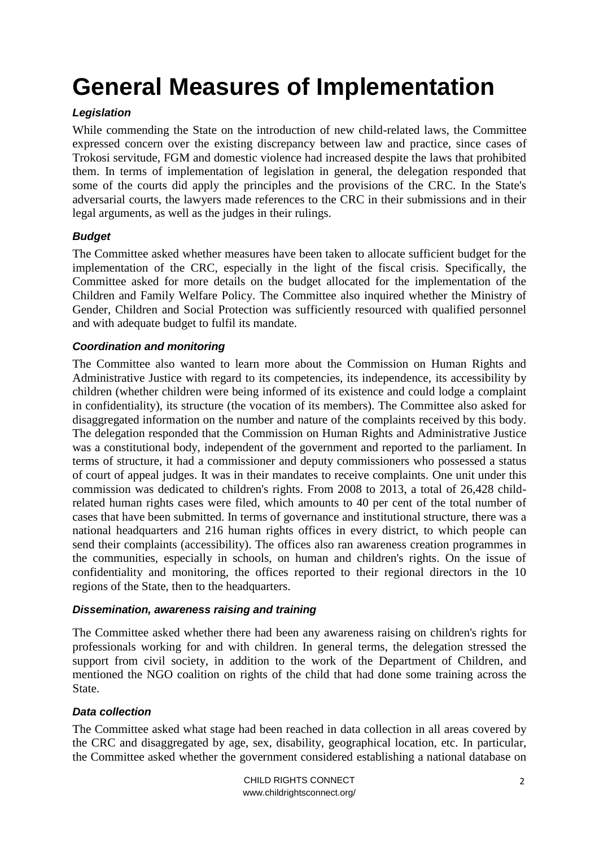# <span id="page-1-0"></span>**General Measures of Implementation**

### *Legislation*

While commending the State on the introduction of new child-related laws, the Committee expressed concern over the existing discrepancy between law and practice, since cases of Trokosi servitude, FGM and domestic violence had increased despite the laws that prohibited them. In terms of implementation of legislation in general, the delegation responded that some of the courts did apply the principles and the provisions of the CRC. In the State's adversarial courts, the lawyers made references to the CRC in their submissions and in their legal arguments, as well as the judges in their rulings.

#### *Budget*

The Committee asked whether measures have been taken to allocate sufficient budget for the implementation of the CRC, especially in the light of the fiscal crisis. Specifically, the Committee asked for more details on the budget allocated for the implementation of the Children and Family Welfare Policy. The Committee also inquired whether the Ministry of Gender, Children and Social Protection was sufficiently resourced with qualified personnel and with adequate budget to fulfil its mandate.

#### *Coordination and monitoring*

The Committee also wanted to learn more about the Commission on Human Rights and Administrative Justice with regard to its competencies, its independence, its accessibility by children (whether children were being informed of its existence and could lodge a complaint in confidentiality), its structure (the vocation of its members). The Committee also asked for disaggregated information on the number and nature of the complaints received by this body. The delegation responded that the Commission on Human Rights and Administrative Justice was a constitutional body, independent of the government and reported to the parliament. In terms of structure, it had a commissioner and deputy commissioners who possessed a status of court of appeal judges. It was in their mandates to receive complaints. One unit under this commission was dedicated to children's rights. From 2008 to 2013, a total of 26,428 childrelated human rights cases were filed, which amounts to 40 per cent of the total number of cases that have been submitted. In terms of governance and institutional structure, there was a national headquarters and 216 human rights offices in every district, to which people can send their complaints (accessibility). The offices also ran awareness creation programmes in the communities, especially in schools, on human and children's rights. On the issue of confidentiality and monitoring, the offices reported to their regional directors in the 10 regions of the State, then to the headquarters.

#### *Dissemination, awareness raising and training*

The Committee asked whether there had been any awareness raising on children's rights for professionals working for and with children. In general terms, the delegation stressed the support from civil society, in addition to the work of the Department of Children, and mentioned the NGO coalition on rights of the child that had done some training across the State.

#### *Data collection*

The Committee asked what stage had been reached in data collection in all areas covered by the CRC and disaggregated by age, sex, disability, geographical location, etc. In particular, the Committee asked whether the government considered establishing a national database on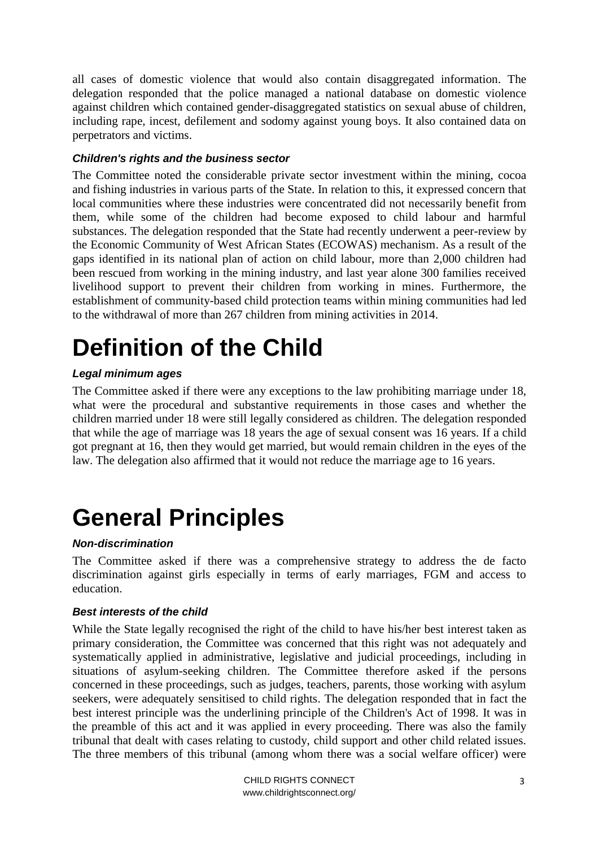all cases of domestic violence that would also contain disaggregated information. The delegation responded that the police managed a national database on domestic violence against children which contained gender-disaggregated statistics on sexual abuse of children, including rape, incest, defilement and sodomy against young boys. It also contained data on perpetrators and victims.

#### *Children's rights and the business sector*

The Committee noted the considerable private sector investment within the mining, cocoa and fishing industries in various parts of the State. In relation to this, it expressed concern that local communities where these industries were concentrated did not necessarily benefit from them, while some of the children had become exposed to child labour and harmful substances. The delegation responded that the State had recently underwent a peer-review by the Economic Community of West African States (ECOWAS) mechanism. As a result of the gaps identified in its national plan of action on child labour, more than 2,000 children had been rescued from working in the mining industry, and last year alone 300 families received livelihood support to prevent their children from working in mines. Furthermore, the establishment of community-based child protection teams within mining communities had led to the withdrawal of more than 267 children from mining activities in 2014.

# <span id="page-2-0"></span>**Definition of the Child**

### *Legal minimum ages*

The Committee asked if there were any exceptions to the law prohibiting marriage under 18, what were the procedural and substantive requirements in those cases and whether the children married under 18 were still legally considered as children. The delegation responded that while the age of marriage was 18 years the age of sexual consent was 16 years. If a child got pregnant at 16, then they would get married, but would remain children in the eyes of the law. The delegation also affirmed that it would not reduce the marriage age to 16 years.

# <span id="page-2-1"></span>**General Principles**

### *Non-discrimination*

The Committee asked if there was a comprehensive strategy to address the de facto discrimination against girls especially in terms of early marriages, FGM and access to education.

### *Best interests of the child*

While the State legally recognised the right of the child to have his/her best interest taken as primary consideration, the Committee was concerned that this right was not adequately and systematically applied in administrative, legislative and judicial proceedings, including in situations of asylum-seeking children. The Committee therefore asked if the persons concerned in these proceedings, such as judges, teachers, parents, those working with asylum seekers, were adequately sensitised to child rights. The delegation responded that in fact the best interest principle was the underlining principle of the Children's Act of 1998. It was in the preamble of this act and it was applied in every proceeding. There was also the family tribunal that dealt with cases relating to custody, child support and other child related issues. The three members of this tribunal (among whom there was a social welfare officer) were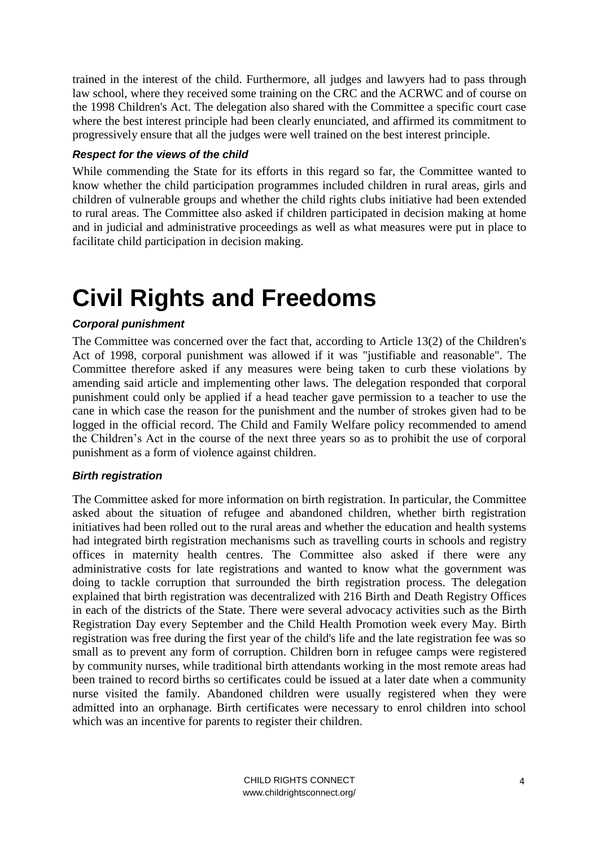trained in the interest of the child. Furthermore, all judges and lawyers had to pass through law school, where they received some training on the CRC and the ACRWC and of course on the 1998 Children's Act. The delegation also shared with the Committee a specific court case where the best interest principle had been clearly enunciated, and affirmed its commitment to progressively ensure that all the judges were well trained on the best interest principle.

#### *Respect for the views of the child*

While commending the State for its efforts in this regard so far, the Committee wanted to know whether the child participation programmes included children in rural areas, girls and children of vulnerable groups and whether the child rights clubs initiative had been extended to rural areas. The Committee also asked if children participated in decision making at home and in judicial and administrative proceedings as well as what measures were put in place to facilitate child participation in decision making.

## <span id="page-3-0"></span>**Civil Rights and Freedoms**

#### *Corporal punishment*

The Committee was concerned over the fact that, according to Article 13(2) of the Children's Act of 1998, corporal punishment was allowed if it was "justifiable and reasonable". The Committee therefore asked if any measures were being taken to curb these violations by amending said article and implementing other laws. The delegation responded that corporal punishment could only be applied if a head teacher gave permission to a teacher to use the cane in which case the reason for the punishment and the number of strokes given had to be logged in the official record. The Child and Family Welfare policy recommended to amend the Children's Act in the course of the next three years so as to prohibit the use of corporal punishment as a form of violence against children.

#### *Birth registration*

The Committee asked for more information on birth registration. In particular, the Committee asked about the situation of refugee and abandoned children, whether birth registration initiatives had been rolled out to the rural areas and whether the education and health systems had integrated birth registration mechanisms such as travelling courts in schools and registry offices in maternity health centres. The Committee also asked if there were any administrative costs for late registrations and wanted to know what the government was doing to tackle corruption that surrounded the birth registration process. The delegation explained that birth registration was decentralized with 216 Birth and Death Registry Offices in each of the districts of the State. There were several advocacy activities such as the Birth Registration Day every September and the Child Health Promotion week every May. Birth registration was free during the first year of the child's life and the late registration fee was so small as to prevent any form of corruption. Children born in refugee camps were registered by community nurses, while traditional birth attendants working in the most remote areas had been trained to record births so certificates could be issued at a later date when a community nurse visited the family. Abandoned children were usually registered when they were admitted into an orphanage. Birth certificates were necessary to enrol children into school which was an incentive for parents to register their children.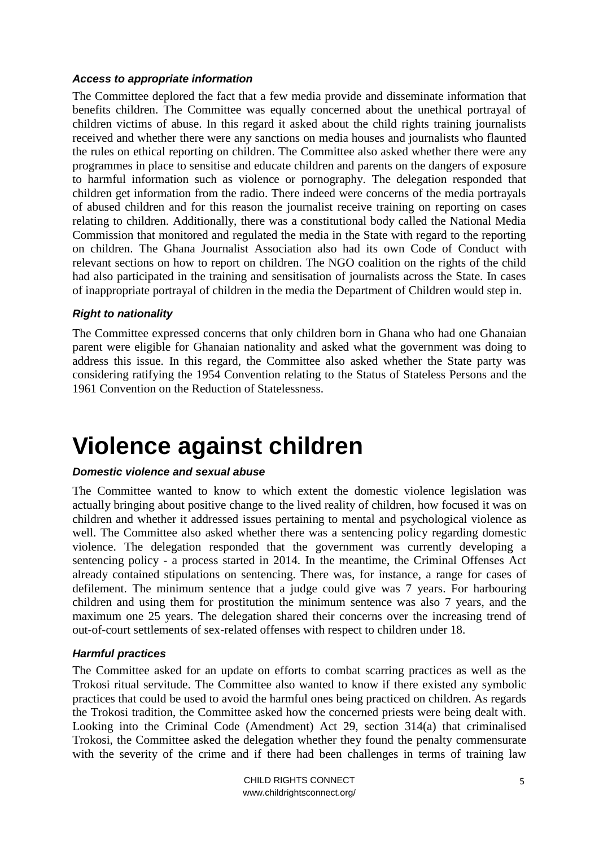#### *Access to appropriate information*

The Committee deplored the fact that a few media provide and disseminate information that benefits children. The Committee was equally concerned about the unethical portrayal of children victims of abuse. In this regard it asked about the child rights training journalists received and whether there were any sanctions on media houses and journalists who flaunted the rules on ethical reporting on children. The Committee also asked whether there were any programmes in place to sensitise and educate children and parents on the dangers of exposure to harmful information such as violence or pornography. The delegation responded that children get information from the radio. There indeed were concerns of the media portrayals of abused children and for this reason the journalist receive training on reporting on cases relating to children. Additionally, there was a constitutional body called the National Media Commission that monitored and regulated the media in the State with regard to the reporting on children. The Ghana Journalist Association also had its own Code of Conduct with relevant sections on how to report on children. The NGO coalition on the rights of the child had also participated in the training and sensitisation of journalists across the State. In cases of inappropriate portrayal of children in the media the Department of Children would step in.

#### *Right to nationality*

The Committee expressed concerns that only children born in Ghana who had one Ghanaian parent were eligible for Ghanaian nationality and asked what the government was doing to address this issue. In this regard, the Committee also asked whether the State party was considering ratifying the 1954 Convention relating to the Status of Stateless Persons and the 1961 Convention on the Reduction of Statelessness.

## **Violence against children**

#### *Domestic violence and sexual abuse*

The Committee wanted to know to which extent the domestic violence legislation was actually bringing about positive change to the lived reality of children, how focused it was on children and whether it addressed issues pertaining to mental and psychological violence as well. The Committee also asked whether there was a sentencing policy regarding domestic violence. The delegation responded that the government was currently developing a sentencing policy - a process started in 2014. In the meantime, the Criminal Offenses Act already contained stipulations on sentencing. There was, for instance, a range for cases of defilement. The minimum sentence that a judge could give was 7 years. For harbouring children and using them for prostitution the minimum sentence was also 7 years, and the maximum one 25 years. The delegation shared their concerns over the increasing trend of out-of-court settlements of sex-related offenses with respect to children under 18.

#### *Harmful practices*

The Committee asked for an update on efforts to combat scarring practices as well as the Trokosi ritual servitude. The Committee also wanted to know if there existed any symbolic practices that could be used to avoid the harmful ones being practiced on children. As regards the Trokosi tradition, the Committee asked how the concerned priests were being dealt with. Looking into the Criminal Code (Amendment) Act 29, section 314(a) that criminalised Trokosi, the Committee asked the delegation whether they found the penalty commensurate with the severity of the crime and if there had been challenges in terms of training law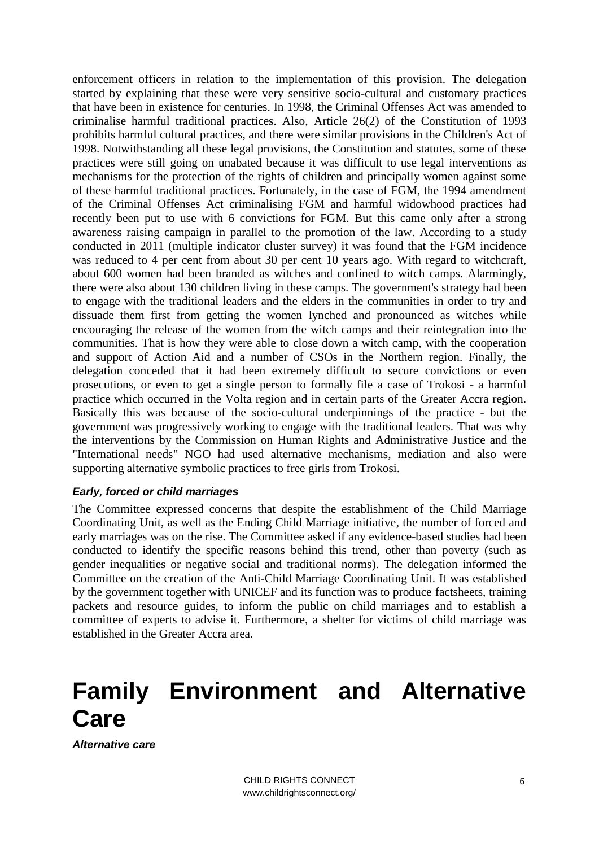enforcement officers in relation to the implementation of this provision. The delegation started by explaining that these were very sensitive socio-cultural and customary practices that have been in existence for centuries. In 1998, the Criminal Offenses Act was amended to criminalise harmful traditional practices. Also, Article 26(2) of the Constitution of 1993 prohibits harmful cultural practices, and there were similar provisions in the Children's Act of 1998. Notwithstanding all these legal provisions, the Constitution and statutes, some of these practices were still going on unabated because it was difficult to use legal interventions as mechanisms for the protection of the rights of children and principally women against some of these harmful traditional practices. Fortunately, in the case of FGM, the 1994 amendment of the Criminal Offenses Act criminalising FGM and harmful widowhood practices had recently been put to use with 6 convictions for FGM. But this came only after a strong awareness raising campaign in parallel to the promotion of the law. According to a study conducted in 2011 (multiple indicator cluster survey) it was found that the FGM incidence was reduced to 4 per cent from about 30 per cent 10 years ago. With regard to witchcraft, about 600 women had been branded as witches and confined to witch camps. Alarmingly, there were also about 130 children living in these camps. The government's strategy had been to engage with the traditional leaders and the elders in the communities in order to try and dissuade them first from getting the women lynched and pronounced as witches while encouraging the release of the women from the witch camps and their reintegration into the communities. That is how they were able to close down a witch camp, with the cooperation and support of Action Aid and a number of CSOs in the Northern region. Finally, the delegation conceded that it had been extremely difficult to secure convictions or even prosecutions, or even to get a single person to formally file a case of Trokosi - a harmful practice which occurred in the Volta region and in certain parts of the Greater Accra region. Basically this was because of the socio-cultural underpinnings of the practice - but the government was progressively working to engage with the traditional leaders. That was why the interventions by the Commission on Human Rights and Administrative Justice and the "International needs" NGO had used alternative mechanisms, mediation and also were supporting alternative symbolic practices to free girls from Trokosi.

#### *Early, forced or child marriages*

The Committee expressed concerns that despite the establishment of the Child Marriage Coordinating Unit, as well as the Ending Child Marriage initiative, the number of forced and early marriages was on the rise. The Committee asked if any evidence-based studies had been conducted to identify the specific reasons behind this trend, other than poverty (such as gender inequalities or negative social and traditional norms). The delegation informed the Committee on the creation of the Anti-Child Marriage Coordinating Unit. It was established by the government together with UNICEF and its function was to produce factsheets, training packets and resource guides, to inform the public on child marriages and to establish a committee of experts to advise it. Furthermore, a shelter for victims of child marriage was established in the Greater Accra area.

# <span id="page-5-0"></span>**Family Environment and Alternative Care**

*Alternative care*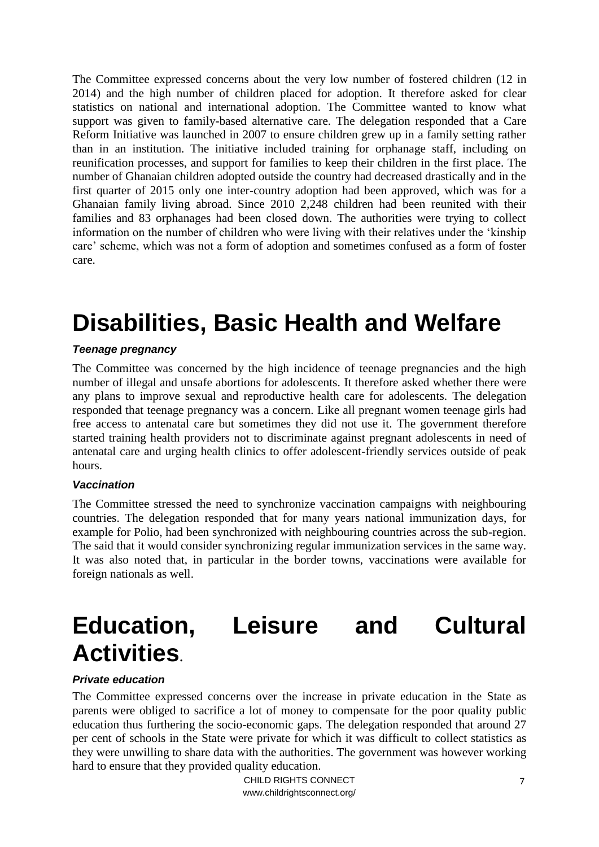The Committee expressed concerns about the very low number of fostered children (12 in 2014) and the high number of children placed for adoption. It therefore asked for clear statistics on national and international adoption. The Committee wanted to know what support was given to family-based alternative care. The delegation responded that a Care Reform Initiative was launched in 2007 to ensure children grew up in a family setting rather than in an institution. The initiative included training for orphanage staff, including on reunification processes, and support for families to keep their children in the first place. The number of Ghanaian children adopted outside the country had decreased drastically and in the first quarter of 2015 only one inter-country adoption had been approved, which was for a Ghanaian family living abroad. Since 2010 2,248 children had been reunited with their families and 83 orphanages had been closed down. The authorities were trying to collect information on the number of children who were living with their relatives under the 'kinship care' scheme, which was not a form of adoption and sometimes confused as a form of foster care.

## <span id="page-6-0"></span>**Disabilities, Basic Health and Welfare**

#### *Teenage pregnancy*

The Committee was concerned by the high incidence of teenage pregnancies and the high number of illegal and unsafe abortions for adolescents. It therefore asked whether there were any plans to improve sexual and reproductive health care for adolescents. The delegation responded that teenage pregnancy was a concern. Like all pregnant women teenage girls had free access to antenatal care but sometimes they did not use it. The government therefore started training health providers not to discriminate against pregnant adolescents in need of antenatal care and urging health clinics to offer adolescent-friendly services outside of peak hours.

#### *Vaccination*

The Committee stressed the need to synchronize vaccination campaigns with neighbouring countries. The delegation responded that for many years national immunization days, for example for Polio, had been synchronized with neighbouring countries across the sub-region. The said that it would consider synchronizing regular immunization services in the same way. It was also noted that, in particular in the border towns, vaccinations were available for foreign nationals as well.

## <span id="page-6-1"></span>**Education, Leisure and Cultural Activities.**

#### *Private education*

The Committee expressed concerns over the increase in private education in the State as parents were obliged to sacrifice a lot of money to compensate for the poor quality public education thus furthering the socio-economic gaps. The delegation responded that around 27 per cent of schools in the State were private for which it was difficult to collect statistics as they were unwilling to share data with the authorities. The government was however working hard to ensure that they provided quality education.

> CHILD RIGHTS CONNECT www.childrightsconnect.org/